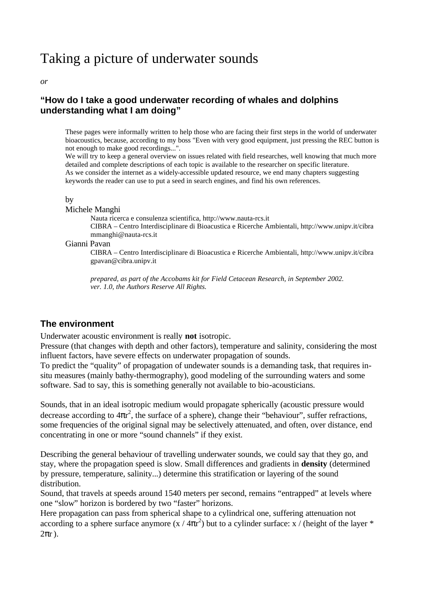# Taking a picture of underwater sounds

#### *or*

## **"How do I take a good underwater recording of whales and dolphins understanding what I am doing"**

These pages were informally written to help those who are facing their first steps in the world of underwater bioacoustics, because, according to my boss "Even with very good equipment, just pressing the REC button is not enough to make good recordings...".

We will try to keep a general overview on issues related with field researches, well knowing that much more detailed and complete descriptions of each topic is available to the researcher on specific literature. As we consider the internet as a widely-accessible updated resource, we end many chapters suggesting keywords the reader can use to put a seed in search engines, and find his own references.

#### by

#### Michele Manghi

Nauta ricerca e consulenza scientifica, http://www.nauta-rcs.it

CIBRA – Centro Interdisciplinare di Bioacustica e Ricerche Ambientali, http://www.unipv.it/cibra mmanghi@nauta-rcs.it

#### Gianni Pavan

CIBRA – Centro Interdisciplinare di Bioacustica e Ricerche Ambientali, http://www.unipv.it/cibra gpavan@cibra.unipv.it

*prepared, as part of the Accobams kit for Field Cetacean Research, in September 2002. ver. 1.0, the Authors Reserve All Rights.*

## **The environment**

Underwater acoustic environment is really **not** isotropic.

Pressure (that changes with depth and other factors), temperature and salinity, considering the most influent factors, have severe effects on underwater propagation of sounds.

To predict the "quality" of propagation of undewater sounds is a demanding task, that requires insitu measures (mainly bathy-thermography), good modeling of the surrounding waters and some software. Sad to say, this is something generally not available to bio-acousticians.

Sounds, that in an ideal isotropic medium would propagate spherically (acoustic pressure would decrease according to  $4\pi r^2$ , the surface of a sphere), change their "behaviour", suffer refractions, some frequencies of the original signal may be selectively attenuated, and often, over distance, end concentrating in one or more "sound channels" if they exist.

Describing the general behaviour of travelling underwater sounds, we could say that they go, and stay, where the propagation speed is slow. Small differences and gradients in **density** (determined by pressure, temperature, salinity...) determine this stratification or layering of the sound distribution.

Sound, that travels at speeds around 1540 meters per second, remains "entrapped" at levels where one "slow" horizon is bordered by two "faster" horizons.

Here propagation can pass from spherical shape to a cylindrical one, suffering attenuation not according to a sphere surface anymore  $(x / 4\pi r^2)$  but to a cylinder surface: x / (height of the layer \*  $2\pi r$ ).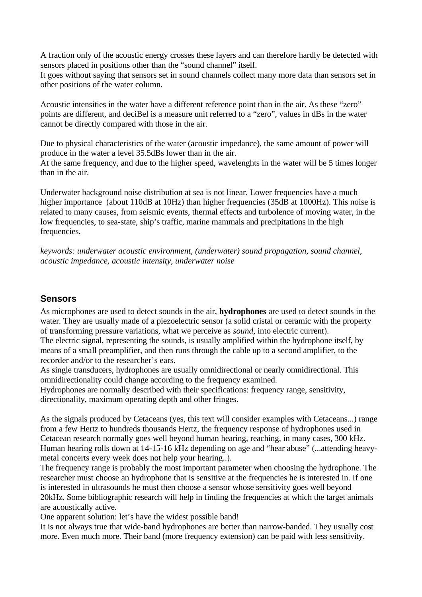A fraction only of the acoustic energy crosses these layers and can therefore hardly be detected with sensors placed in positions other than the "sound channel" itself.

It goes without saying that sensors set in sound channels collect many more data than sensors set in other positions of the water column.

Acoustic intensities in the water have a different reference point than in the air. As these "zero" points are different, and deciBel is a measure unit referred to a "zero", values in dBs in the water cannot be directly compared with those in the air.

Due to physical characteristics of the water (acoustic impedance), the same amount of power will produce in the water a level 35.5dBs lower than in the air.

At the same frequency, and due to the higher speed, wavelenghts in the water will be 5 times longer than in the air.

Underwater background noise distribution at sea is not linear. Lower frequencies have a much higher importance (about 110dB at 10Hz) than higher frequencies (35dB at 1000Hz). This noise is related to many causes, from seismic events, thermal effects and turbolence of moving water, in the low frequencies, to sea-state, ship's traffic, marine mammals and precipitations in the high frequencies.

*keywords: underwater acoustic environment, (underwater) sound propagation, sound channel, acoustic impedance, acoustic intensity, underwater noise*

## **Sensors**

As microphones are used to detect sounds in the air, **hydrophones** are used to detect sounds in the water. They are usually made of a piezoelectric sensor (a solid cristal or ceramic with the property of transforming pressure variations, what we perceive as *sound*, into electric current).

The electric signal, representing the sounds, is usually amplified within the hydrophone itself, by means of a small preamplifier, and then runs through the cable up to a second amplifier, to the recorder and/or to the researcher's ears.

As single transducers, hydrophones are usually omnidirectional or nearly omnidirectional. This omnidirectionality could change according to the frequency examined.

Hydrophones are normally described with their specifications: frequency range, sensitivity, directionality, maximum operating depth and other fringes.

As the signals produced by Cetaceans (yes, this text will consider examples with Cetaceans...) range from a few Hertz to hundreds thousands Hertz, the frequency response of hydrophones used in Cetacean research normally goes well beyond human hearing, reaching, in many cases, 300 kHz. Human hearing rolls down at 14-15-16 kHz depending on age and "hear abuse" (...attending heavymetal concerts every week does not help your hearing..).

The frequency range is probably the most important parameter when choosing the hydrophone. The researcher must choose an hydrophone that is sensitive at the frequencies he is interested in. If one is interested in ultrasounds he must then choose a sensor whose sensitivity goes well beyond 20kHz. Some bibliographic research will help in finding the frequencies at which the target animals are acoustically active.

One apparent solution: let's have the widest possible band!

It is not always true that wide-band hydrophones are better than narrow-banded. They usually cost more. Even much more. Their band (more frequency extension) can be paid with less sensitivity.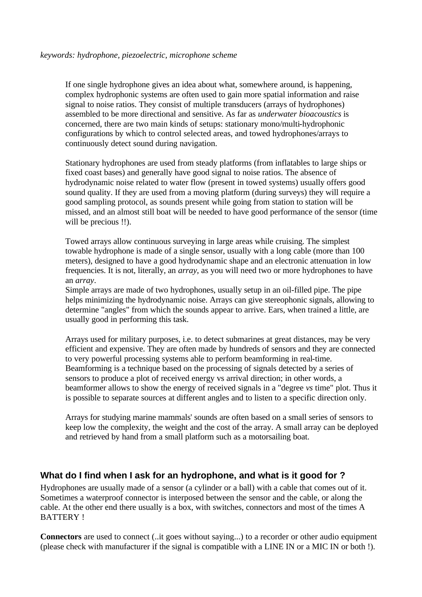If one single hydrophone gives an idea about what, somewhere around, is happening, complex hydrophonic systems are often used to gain more spatial information and raise signal to noise ratios. They consist of multiple transducers (arrays of hydrophones) assembled to be more directional and sensitive. As far as *underwater bioacoustics* is concerned, there are two main kinds of setups: stationary mono/multi-hydrophonic configurations by which to control selected areas, and towed hydrophones/arrays to continuously detect sound during navigation.

Stationary hydrophones are used from steady platforms (from inflatables to large ships or fixed coast bases) and generally have good signal to noise ratios. The absence of hydrodynamic noise related to water flow (present in towed systems) usually offers good sound quality. If they are used from a moving platform (during surveys) they will require a good sampling protocol, as sounds present while going from station to station will be missed, and an almost still boat will be needed to have good performance of the sensor (time will be precious !!).

Towed arrays allow continuous surveying in large areas while cruising. The simplest towable hydrophone is made of a single sensor, usually with a long cable (more than 100 meters), designed to have a good hydrodynamic shape and an electronic attenuation in low frequencies. It is not, literally, an *array*, as you will need two or more hydrophones to have an *array*.

Simple arrays are made of two hydrophones, usually setup in an oil-filled pipe. The pipe helps minimizing the hydrodynamic noise. Arrays can give stereophonic signals, allowing to determine "angles" from which the sounds appear to arrive. Ears, when trained a little, are usually good in performing this task.

Arrays used for military purposes, i.e. to detect submarines at great distances, may be very efficient and expensive. They are often made by hundreds of sensors and they are connected to very powerful processing systems able to perform beamforming in real-time. Beamforming is a technique based on the processing of signals detected by a series of sensors to produce a plot of received energy vs arrival direction; in other words, a beamformer allows to show the energy of received signals in a "degree *vs* time" plot. Thus it is possible to separate sources at different angles and to listen to a specific direction only.

Arrays for studying marine mammals' sounds are often based on a small series of sensors to keep low the complexity, the weight and the cost of the array. A small array can be deployed and retrieved by hand from a small platform such as a motorsailing boat.

## **What do I find when I ask for an hydrophone, and what is it good for ?**

Hydrophones are usually made of a sensor (a cylinder or a ball) with a cable that comes out of it. Sometimes a waterproof connector is interposed between the sensor and the cable, or along the cable. At the other end there usually is a box, with switches, connectors and most of the times A BATTERY !

**Connectors** are used to connect (..it goes without saying...) to a recorder or other audio equipment (please check with manufacturer if the signal is compatible with a LINE IN or a MIC IN or both !).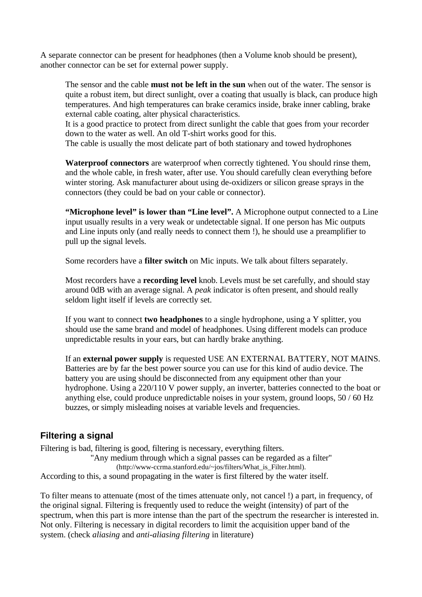A separate connector can be present for headphones (then a Volume knob should be present), another connector can be set for external power supply.

The sensor and the cable **must not be left in the sun** when out of the water. The sensor is quite a robust item, but direct sunlight, over a coating that usually is black, can produce high temperatures. And high temperatures can brake ceramics inside, brake inner cabling, brake external cable coating, alter physical characteristics.

It is a good practice to protect from direct sunlight the cable that goes from your recorder down to the water as well. An old T-shirt works good for this.

The cable is usually the most delicate part of both stationary and towed hydrophones

**Waterproof connectors** are waterproof when correctly tightened. You should rinse them, and the whole cable, in fresh water, after use. You should carefully clean everything before winter storing. Ask manufacturer about using de-oxidizers or silicon grease sprays in the connectors (they could be bad on your cable or connector).

**"Microphone level" is lower than "Line level".** A Microphone output connected to a Line input usually results in a very weak or undetectable signal. If one person has Mic outputs and Line inputs only (and really needs to connect them !), he should use a preamplifier to pull up the signal levels.

Some recorders have a **filter switch** on Mic inputs. We talk about filters separately.

Most recorders have a **recording level** knob. Levels must be set carefully, and should stay around 0dB with an average signal. A *peak* indicator is often present, and should really seldom light itself if levels are correctly set.

If you want to connect **two headphones** to a single hydrophone, using a Y splitter, you should use the same brand and model of headphones. Using different models can produce unpredictable results in your ears, but can hardly brake anything.

If an **external power supply** is requested USE AN EXTERNAL BATTERY, NOT MAINS. Batteries are by far the best power source you can use for this kind of audio device. The battery you are using should be disconnected from any equipment other than your hydrophone. Using a 220/110 V power supply, an inverter, batteries connected to the boat or anything else, could produce unpredictable noises in your system, ground loops, 50 / 60 Hz buzzes, or simply misleading noises at variable levels and frequencies.

# **Filtering a signal**

Filtering is bad, filtering is good, filtering is necessary, everything filters. "Any medium through which a signal passes can be regarded as a filter" (http://www-ccrma.stanford.edu/~jos/filters/What\_is\_Filter.html). According to this, a sound propagating in the water is first filtered by the water itself.

To filter means to attenuate (most of the times attenuate only, not cancel !) a part, in frequency, of the original signal. Filtering is frequently used to reduce the weight (intensity) of part of the spectrum, when this part is more intense than the part of the spectrum the researcher is interested in. Not only. Filtering is necessary in digital recorders to limit the acquisition upper band of the system. (check *aliasing* and *anti-aliasing filtering* in literature)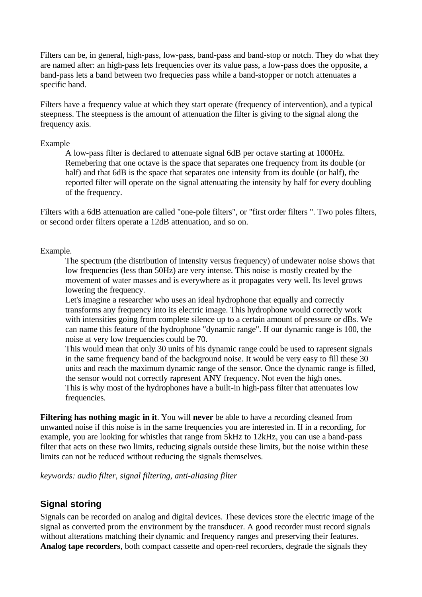Filters can be, in general, high-pass, low-pass, band-pass and band-stop or notch. They do what they are named after: an high-pass lets frequencies over its value pass, a low-pass does the opposite, a band-pass lets a band between two frequecies pass while a band-stopper or notch attenuates a specific band.

Filters have a frequency value at which they start operate (frequency of intervention), and a typical steepness. The steepness is the amount of attenuation the filter is giving to the signal along the frequency axis.

#### Example

A low-pass filter is declared to attenuate signal 6dB per octave starting at 1000Hz. Remebering that one octave is the space that separates one frequency from its double (or half) and that 6dB is the space that separates one intensity from its double (or half), the reported filter will operate on the signal attenuating the intensity by half for every doubling of the frequency.

Filters with a 6dB attenuation are called "one-pole filters", or "first order filters ". Two poles filters, or second order filters operate a 12dB attenuation, and so on.

#### Example.

The spectrum (the distribution of intensity versus frequency) of undewater noise shows that low frequencies (less than 50Hz) are very intense. This noise is mostly created by the movement of water masses and is everywhere as it propagates very well. Its level grows lowering the frequency.

Let's imagine a researcher who uses an ideal hydrophone that equally and correctly transforms any frequency into its electric image. This hydrophone would correctly work with intensities going from complete silence up to a certain amount of pressure or dBs. We can name this feature of the hydrophone "dynamic range". If our dynamic range is 100, the noise at very low frequencies could be 70.

This would mean that only 30 units of his dynamic range could be used to rapresent signals in the same frequency band of the background noise. It would be very easy to fill these 30 units and reach the maximum dynamic range of the sensor. Once the dynamic range is filled, the sensor would not correctly rapresent ANY frequency. Not even the high ones. This is why most of the hydrophones have a built-in high-pass filter that attenuates low frequencies.

**Filtering has nothing magic in it**. You will **never** be able to have a recording cleaned from unwanted noise if this noise is in the same frequencies you are interested in. If in a recording, for example, you are looking for whistles that range from 5kHz to 12kHz, you can use a band-pass filter that acts on these two limits, reducing signals outside these limits, but the noise within these limits can not be reduced without reducing the signals themselves.

*keywords: audio filter, signal filtering, anti-aliasing filter*

## **Signal storing**

Signals can be recorded on analog and digital devices. These devices store the electric image of the signal as converted prom the environment by the transducer. A good recorder must record signals without alterations matching their dynamic and frequency ranges and preserving their features. **Analog tape recorders**, both compact cassette and open-reel recorders, degrade the signals they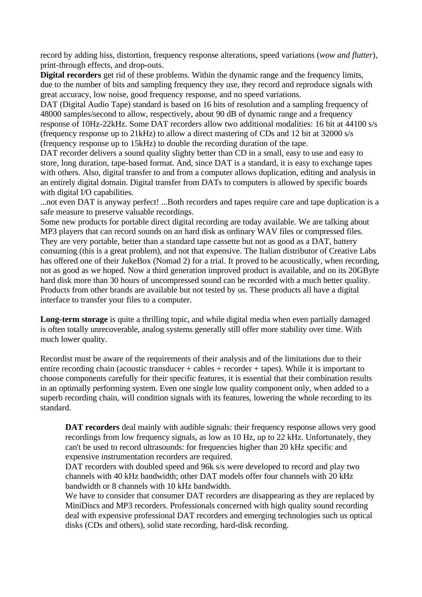record by adding hiss, distortion, frequency response alterations, speed variations (*wow and flutter*), print-through effects, and drop-outs.

**Digital recorders** get rid of these problems. Within the dynamic range and the frequency limits, due to the number of bits and sampling frequency they use, they record and reproduce signals with great accuracy, low noise, good frequency response, and no speed variations.

DAT (Digital Audio Tape) standard is based on 16 bits of resolution and a sampling frequency of 48000 samples/second to allow, respectively, about 90 dB of dynamic range and a frequency response of 10Hz-22kHz. Some DAT recorders allow two additional modalities: 16 bit at 44100 s/s (frequency response up to 21kHz) to allow a direct mastering of CDs and 12 bit at 32000 s/s (frequency response up to 15kHz) to double the recording duration of the tape.

DAT recorder delivers a sound quality slighty better than CD in a small, easy to use and easy to store, long duration, tape-based format. And, since DAT is a standard, it is easy to exchange tapes with others. Also, digital transfer to and from a computer allows duplication, editing and analysis in an entirely digital domain. Digital transfer from DATs to computers is allowed by specific boards with digital I/O capabilities.

...not even DAT is anyway perfect! ...Both recorders and tapes require care and tape duplication is a safe measure to preserve valuable recordings.

Some new products for portable direct digital recording are today available. We are talking about MP3 players that can record sounds on an hard disk as ordinary WAV files or compressed files. They are very portable, better than a standard tape cassette but not as good as a DAT, battery consuming (this is a great problem), and not that expensive. The Italian distributor of Creative Labs has offered one of their JukeBox (Nomad 2) for a trial. It proved to be acoustically, when recording, not as good as we hoped. Now a third generation improved product is available, and on its 20GByte hard disk more than 30 hours of uncompressed sound can be recorded with a much better quality. Products from other brands are available but not tested by us. These products all have a digital interface to transfer your files to a computer.

**Long-term storage** is quite a thrilling topic, and while digital media when even partially damaged is often totally unrecoverable, analog systems generally still offer more stability over time. With much lower quality.

Recordist must be aware of the requirements of their analysis and of the limitations due to their entire recording chain (acoustic transducer + cables + recorder + tapes). While it is important to choose components carefully for their specific features, it is essential that their combination results in an optimally performing system. Even one single low quality component only, when added to a superb recording chain, will condition signals with its features, lowering the whole recording to its standard.

**DAT recorders** deal mainly with audible signals: their frequency response allows very good recordings from low frequency signals, as low as 10 Hz, up to 22 kHz. Unfortunately, they can't be used to record ultrasounds: for frequencies higher than 20 kHz specific and expensive instrumentation recorders are required.

DAT recorders with doubled speed and 96k s/s were developed to record and play two channels with 40 kHz bandwidth; other DAT models offer four channels with 20 kHz bandwidth or 8 channels with 10 kHz bandwidth.

We have to consider that consumer DAT recorders are disappearing as they are replaced by MiniDiscs and MP3 recorders. Professionals concerned with high quality sound recording deal with expensive professional DAT recorders and emerging technologies such us optical disks (CDs and others), solid state recording, hard-disk recording.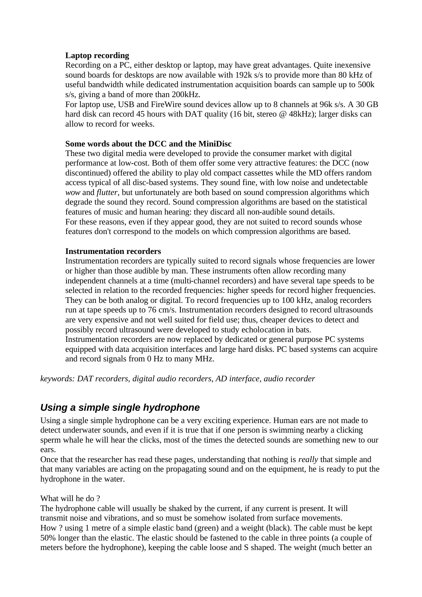## **Laptop recording**

Recording on a PC, either desktop or laptop, may have great advantages. Quite inexensive sound boards for desktops are now available with 192k s/s to provide more than 80 kHz of useful bandwidth while dedicated instrumentation acquisition boards can sample up to 500k s/s, giving a band of more than 200kHz.

For laptop use, USB and FireWire sound devices allow up to 8 channels at 96k s/s. A 30 GB hard disk can record 45 hours with DAT quality (16 bit, stereo @ 48kHz); larger disks can allow to record for weeks.

### **Some words about the DCC and the MiniDisc**

These two digital media were developed to provide the consumer market with digital performance at low-cost. Both of them offer some very attractive features: the DCC (now discontinued) offered the ability to play old compact cassettes while the MD offers random access typical of all disc-based systems. They sound fine, with low noise and undetectable *wow* and *flutter*, but unfortunately are both based on sound compression algorithms which degrade the sound they record. Sound compression algorithms are based on the statistical features of music and human hearing: they discard all non-audible sound details. For these reasons, even if they appear good, they are not suited to record sounds whose features don't correspond to the models on which compression algorithms are based.

### **Instrumentation recorders**

Instrumentation recorders are typically suited to record signals whose frequencies are lower or higher than those audible by man. These instruments often allow recording many independent channels at a time (multi-channel recorders) and have several tape speeds to be selected in relation to the recorded frequencies: higher speeds for record higher frequencies. They can be both analog or digital. To record frequencies up to 100 kHz, analog recorders run at tape speeds up to 76 cm/s. Instrumentation recorders designed to record ultrasounds are very expensive and not well suited for field use; thus, cheaper devices to detect and possibly record ultrasound were developed to study echolocation in bats. Instrumentation recorders are now replaced by dedicated or general purpose PC systems equipped with data acquisition interfaces and large hard disks. PC based systems can acquire and record signals from 0 Hz to many MHz.

*keywords: DAT recorders, digital audio recorders, AD interface, audio recorder*

# *Using a simple single hydrophone*

Using a single simple hydrophone can be a very exciting experience. Human ears are not made to detect underwater sounds, and even if it is true that if one person is swimming nearby a clicking sperm whale he will hear the clicks, most of the times the detected sounds are something new to our ears.

Once that the researcher has read these pages, understanding that nothing is *really* that simple and that many variables are acting on the propagating sound and on the equipment, he is ready to put the hydrophone in the water.

#### What will he do ?

The hydrophone cable will usually be shaked by the current, if any current is present. It will transmit noise and vibrations, and so must be somehow isolated from surface movements. How ? using 1 metre of a simple elastic band (green) and a weight (black). The cable must be kept 50% longer than the elastic. The elastic should be fastened to the cable in three points (a couple of meters before the hydrophone), keeping the cable loose and S shaped. The weight (much better an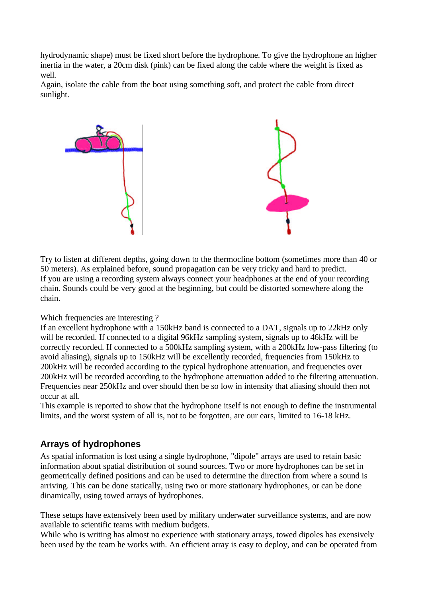hydrodynamic shape) must be fixed short before the hydrophone. To give the hydrophone an higher inertia in the water, a 20cm disk (pink) can be fixed along the cable where the weight is fixed as well.

Again, isolate the cable from the boat using something soft, and protect the cable from direct sunlight.



Try to listen at different depths, going down to the thermocline bottom (sometimes more than 40 or 50 meters). As explained before, sound propagation can be very tricky and hard to predict. If you are using a recording system always connect your headphones at the end of your recording chain. Sounds could be very good at the beginning, but could be distorted somewhere along the chain.

## Which frequencies are interesting ?

If an excellent hydrophone with a 150kHz band is connected to a DAT, signals up to 22kHz only will be recorded. If connected to a digital 96kHz sampling system, signals up to 46kHz will be correctly recorded. If connected to a 500kHz sampling system, with a 200kHz low-pass filtering (to avoid aliasing), signals up to 150kHz will be excellently recorded, frequencies from 150kHz to 200kHz will be recorded according to the typical hydrophone attenuation, and frequencies over 200kHz will be recorded according to the hydrophone attenuation added to the filtering attenuation. Frequencies near 250kHz and over should then be so low in intensity that aliasing should then not occur at all.

This example is reported to show that the hydrophone itself is not enough to define the instrumental limits, and the worst system of all is, not to be forgotten, are our ears, limited to 16-18 kHz.

## **Arrays of hydrophones**

As spatial information is lost using a single hydrophone, "dipole" arrays are used to retain basic information about spatial distribution of sound sources. Two or more hydrophones can be set in geometrically defined positions and can be used to determine the direction from where a sound is arriving. This can be done statically, using two or more stationary hydrophones, or can be done dinamically, using towed arrays of hydrophones.

These setups have extensively been used by military underwater surveillance systems, and are now available to scientific teams with medium budgets.

While who is writing has almost no experience with stationary arrays, towed dipoles has exensively been used by the team he works with. An efficient array is easy to deploy, and can be operated from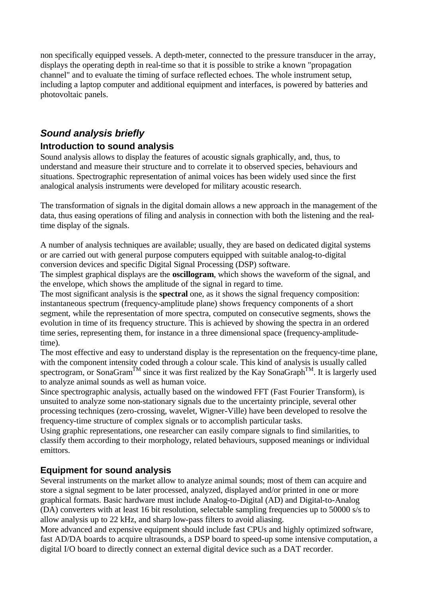non specifically equipped vessels. A depth-meter, connected to the pressure transducer in the array, displays the operating depth in real-time so that it is possible to strike a known "propagation channel" and to evaluate the timing of surface reflected echoes. The whole instrument setup, including a laptop computer and additional equipment and interfaces, is powered by batteries and photovoltaic panels.

# *Sound analysis briefly*

## **Introduction to sound analysis**

Sound analysis allows to display the features of acoustic signals graphically, and, thus, to understand and measure their structure and to correlate it to observed species, behaviours and situations. Spectrographic representation of animal voices has been widely used since the first analogical analysis instruments were developed for military acoustic research.

The transformation of signals in the digital domain allows a new approach in the management of the data, thus easing operations of filing and analysis in connection with both the listening and the realtime display of the signals.

A number of analysis techniques are available; usually, they are based on dedicated digital systems or are carried out with general purpose computers equipped with suitable analog-to-digital conversion devices and specific Digital Signal Processing (DSP) software.

The simplest graphical displays are the **oscillogram**, which shows the waveform of the signal, and the envelope, which shows the amplitude of the signal in regard to time.

The most significant analysis is the **spectral** one, as it shows the signal frequency composition: instantaneous spectrum (frequency-amplitude plane) shows frequency components of a short segment, while the representation of more spectra, computed on consecutive segments, shows the evolution in time of its frequency structure. This is achieved by showing the spectra in an ordered time series, representing them, for instance in a three dimensional space (frequency-amplitudetime).

The most effective and easy to understand display is the representation on the frequency-time plane, with the component intensity coded through a colour scale. This kind of analysis is usually called spectrogram, or SonaGram<sup>TM</sup> since it was first realized by the Kay SonaGraph<sup>TM</sup>. It is largerly used to analyze animal sounds as well as human voice.

Since spectrographic analysis, actually based on the windowed FFT (Fast Fourier Transform), is unsuited to analyze some non-stationary signals due to the uncertainty principle, several other processing techniques (zero-crossing, wavelet, Wigner-Ville) have been developed to resolve the frequency-time structure of complex signals or to accomplish particular tasks.

Using graphic representations, one researcher can easily compare signals to find similarities, to classify them according to their morphology, related behaviours, supposed meanings or individual emittors.

# **Equipment for sound analysis**

Several instruments on the market allow to analyze animal sounds; most of them can acquire and store a signal segment to be later processed, analyzed, displayed and/or printed in one or more graphical formats. Basic hardware must include Analog-to-Digital (AD) and Digital-to-Analog (DA) converters with at least 16 bit resolution, selectable sampling frequencies up to 50000 s/s to allow analysis up to 22 kHz, and sharp low-pass filters to avoid aliasing.

More advanced and expensive equipment should include fast CPUs and highly optimized software, fast AD/DA boards to acquire ultrasounds, a DSP board to speed-up some intensive computation, a digital I/O board to directly connect an external digital device such as a DAT recorder.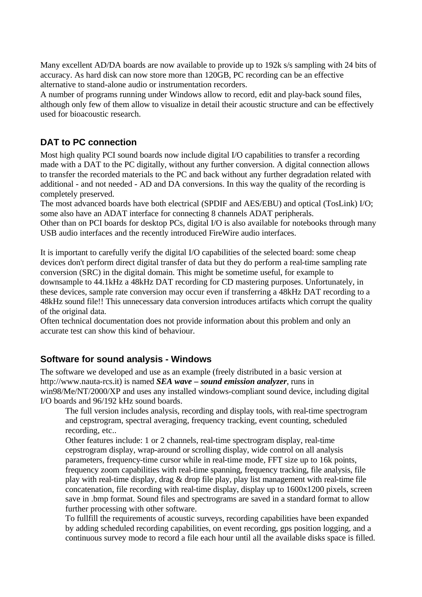Many excellent AD/DA boards are now available to provide up to 192k s/s sampling with 24 bits of accuracy. As hard disk can now store more than 120GB, PC recording can be an effective alternative to stand-alone audio or instrumentation recorders.

A number of programs running under Windows allow to record, edit and play-back sound files, although only few of them allow to visualize in detail their acoustic structure and can be effectively used for bioacoustic research.

# **DAT to PC connection**

Most high quality PCI sound boards now include digital I/O capabilities to transfer a recording made with a DAT to the PC digitally, without any further conversion. A digital connection allows to transfer the recorded materials to the PC and back without any further degradation related with additional - and not needed - AD and DA conversions. In this way the quality of the recording is completely preserved.

The most advanced boards have both electrical (SPDIF and AES/EBU) and optical (TosLink) I/O; some also have an ADAT interface for connecting 8 channels ADAT peripherals.

Other than on PCI boards for desktop PCs, digital I/O is also available for notebooks through many USB audio interfaces and the recently introduced FireWire audio interfaces.

It is important to carefully verify the digital I/O capabilities of the selected board: some cheap devices don't perform direct digital transfer of data but they do perform a real-time sampling rate conversion (SRC) in the digital domain. This might be sometime useful, for example to downsample to 44.1kHz a 48kHz DAT recording for CD mastering purposes. Unfortunately, in these devices, sample rate conversion may occur even if transferring a 48kHz DAT recording to a 48kHz sound file!! This unnecessary data conversion introduces artifacts which corrupt the quality of the original data.

Often technical documentation does not provide information about this problem and only an accurate test can show this kind of behaviour.

## **Software for sound analysis - Windows**

The software we developed and use as an example (freely distributed in a basic version at http://www.nauta-rcs.it) is named *SEA wave – sound emission analyzer*, runs in win98/Me/NT/2000/XP and uses any installed windows-compliant sound device, including digital I/O boards and 96/192 kHz sound boards.

The full version includes analysis, recording and display tools, with real-time spectrogram and cepstrogram, spectral averaging, frequency tracking, event counting, scheduled recording, etc..

Other features include: 1 or 2 channels, real-time spectrogram display, real-time cepstrogram display, wrap-around or scrolling display, wide control on all analysis parameters, frequency-time cursor while in real-time mode, FFT size up to 16k points, frequency zoom capabilities with real-time spanning, frequency tracking, file analysis, file play with real-time display, drag & drop file play, play list management with real-time file concatenation, file recording with real-time display, display up to 1600x1200 pixels, screen save in .bmp format. Sound files and spectrograms are saved in a standard format to allow further processing with other software.

To fullfill the requirements of acoustic surveys, recording capabilities have been expanded by adding scheduled recording capabilities, on event recording, gps position logging, and a continuous survey mode to record a file each hour until all the available disks space is filled.